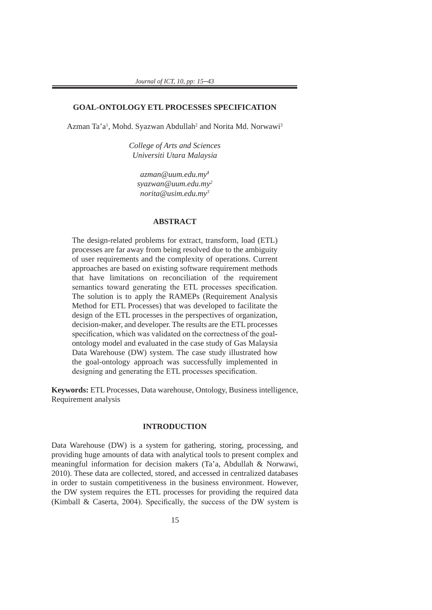# **GOAL-ONTOLOGY ETL PROCESSES SPECIFICATION**

Azman Ta'a<sup>1</sup>, Mohd. Syazwan Abdullah<sup>2</sup> and Norita Md. Norwawi<sup>3</sup>

*College of Arts and Sciences Universiti Utara Malaysia*

*azman@uum.edu.my<sup>1</sup> syazwan@uum.edu.my2 norita@usim.edu.my3*

# **ABSTRACT**

The design-related problems for extract, transform, load (ETL) processes are far away from being resolved due to the ambiguity of user requirements and the complexity of operations. Current approaches are based on existing software requirement methods that have limitations on reconciliation of the requirement semantics toward generating the ETL processes specification. The solution is to apply the RAMEPs (Requirement Analysis Method for ETL Processes) that was developed to facilitate the design of the ETL processes in the perspectives of organization, decision-maker, and developer. The results are the ETL processes specification, which was validated on the correctness of the goalontology model and evaluated in the case study of Gas Malaysia Data Warehouse (DW) system. The case study illustrated how the goal-ontology approach was successfully implemented in designing and generating the ETL processes specification.

**Keywords:** ETL Processes, Data warehouse, Ontology, Business intelligence, Requirement analysis

#### **INTRODUCTION**

Data Warehouse (DW) is a system for gathering, storing, processing, and providing huge amounts of data with analytical tools to present complex and meaningful information for decision makers (Ta'a, Abdullah & Norwawi, 2010). These data are collected, stored, and accessed in centralized databases in order to sustain competitiveness in the business environment. However, the DW system requires the ETL processes for providing the required data (Kimball & Caserta, 2004). Specifically, the success of the DW system is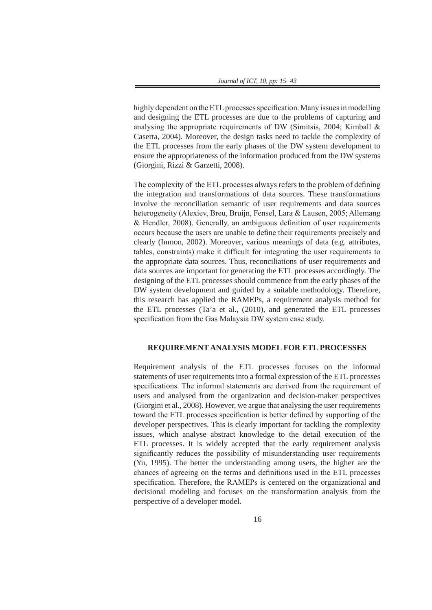highly dependent on the ETL processes specification. Many issues in modelling and designing the ETL processes are due to the problems of capturing and analysing the appropriate requirements of DW (Simitsis, 2004; Kimball & Caserta, 2004). Moreover, the design tasks need to tackle the complexity of the ETL processes from the early phases of the DW system development to ensure the appropriateness of the information produced from the DW systems (Giorgini, Rizzi & Garzetti, 2008).

The complexity of the ETL processes always refers to the problem of defining the integration and transformations of data sources. These transformations involve the reconciliation semantic of user requirements and data sources heterogeneity (Alexiev, Breu, Bruijn, Fensel, Lara & Lausen, 2005; Allemang & Hendler, 2008). Generally, an ambiguous definition of user requirements occurs because the users are unable to define their requirements precisely and clearly (Inmon, 2002). Moreover, various meanings of data (e.g. attributes, tables, constraints) make it difficult for integrating the user requirements to the appropriate data sources. Thus, reconciliations of user requirements and data sources are important for generating the ETL processes accordingly. The designing of the ETL processes should commence from the early phases of the DW system development and guided by a suitable methodology. Therefore, this research has applied the RAMEPs, a requirement analysis method for the ETL processes (Ta'a et al., (2010), and generated the ETL processes specification from the Gas Malaysia DW system case study.

#### **REQUIREMENT ANALYSIS MODEL FOR ETL PROCESSES**

Requirement analysis of the ETL processes focuses on the informal statements of user requirements into a formal expression of the ETL processes specifications. The informal statements are derived from the requirement of users and analysed from the organization and decision-maker perspectives (Giorgini et al., 2008). However, we argue that analysing the user requirements toward the ETL processes specification is better defined by supporting of the developer perspectives. This is clearly important for tackling the complexity issues, which analyse abstract knowledge to the detail execution of the ETL processes. It is widely accepted that the early requirement analysis significantly reduces the possibility of misunderstanding user requirements (Yu, 1995). The better the understanding among users, the higher are the chances of agreeing on the terms and definitions used in the ETL processes specification. Therefore, the RAMEPs is centered on the organizational and decisional modeling and focuses on the transformation analysis from the perspective of a developer model.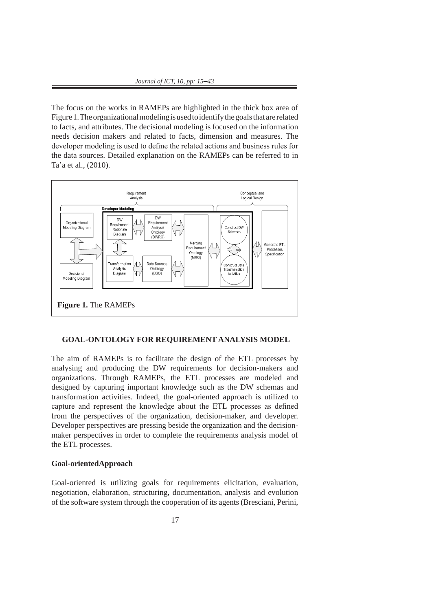The focus on the works in RAMEPs are highlighted in the thick box area of Figure 1. The organizational modeling is used to identify the goals that are related to facts, and attributes. The decisional modeling is focused on the information needs decision makers and related to facts, dimension and measures. The developer modeling is used to define the related actions and business rules for the data sources. Detailed explanation on the RAMEPs can be referred to in Ta'a et al., (2010).



# **GOAL-ONTOLOGY FOR REQUIREMENT ANALYSIS MODEL**

The aim of RAMEPs is to facilitate the design of the ETL processes by analysing and producing the DW requirements for decision-makers and organizations. Through RAMEPs, the ETL processes are modeled and designed by capturing important knowledge such as the DW schemas and transformation activities. Indeed, the goal-oriented approach is utilized to capture and represent the knowledge about the ETL processes as defined from the perspectives of the organization, decision-maker, and developer. Developer perspectives are pressing beside the organization and the decisionmaker perspectives in order to complete the requirements analysis model of the ETL processes.

# **Goal-orientedApproach**

Goal-oriented is utilizing goals for requirements elicitation, evaluation, negotiation, elaboration, structuring, documentation, analysis and evolution of the software system through the cooperation of its agents (Bresciani, Perini,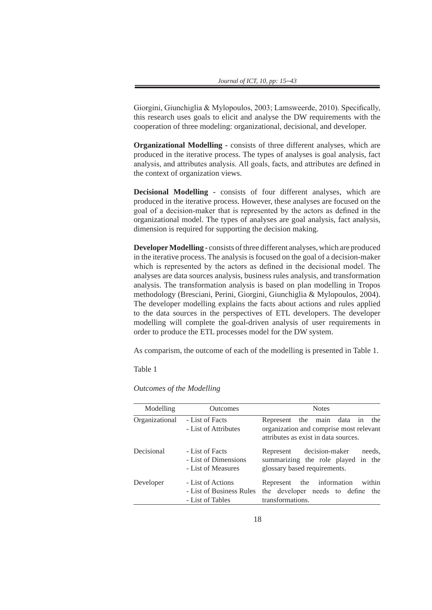Giorgini, Giunchiglia & Mylopoulos, 2003; Lamsweerde, 2010). Specifically, this research uses goals to elicit and analyse the DW requirements with the cooperation of three modeling: organizational, decisional, and developer.

**Organizational Modelling -** consists of three different analyses, which are produced in the iterative process. The types of analyses is goal analysis, fact analysis, and attributes analysis. All goals, facts, and attributes are defined in the context of organization views.

**Decisional Modelling -** consists of four different analyses, which are produced in the iterative process. However, these analyses are focused on the goal of a decision-maker that is represented by the actors as defined in the organizational model. The types of analyses are goal analysis, fact analysis, dimension is required for supporting the decision making.

**Developer Modelling -** consists of three different analyses, which are produced in the iterative process. The analysis is focused on the goal of a decision-maker which is represented by the actors as defined in the decisional model. The analyses are data sources analysis, business rules analysis, and transformation analysis. The transformation analysis is based on plan modelling in Tropos methodology (Bresciani, Perini, Giorgini, Giunchiglia & Mylopoulos, 2004). The developer modelling explains the facts about actions and rules applied to the data sources in the perspectives of ETL developers. The developer modelling will complete the goal-driven analysis of user requirements in order to produce the ETL processes model for the DW system.

As comparism, the outcome of each of the modelling is presented in Table 1.

Table 1

*Outcomes of the Modelling*

| Modelling      | <b>Outcomes</b>                                                   | <b>Notes</b>                                                                                                         |
|----------------|-------------------------------------------------------------------|----------------------------------------------------------------------------------------------------------------------|
| Organizational | - List of Facts<br>- List of Attributes                           | Represent the main data in<br>the<br>organization and comprise most relevant<br>attributes as exist in data sources. |
| Decisional     | - List of Facts<br>- List of Dimensions<br>- List of Measures     | decision-maker<br>needs,<br>Represent<br>summarizing the role played in the<br>glossary based requirements.          |
| Developer      | - List of Actions<br>- List of Business Rules<br>- List of Tables | Represent the information<br>within<br>the developer needs to define the<br>transformations.                         |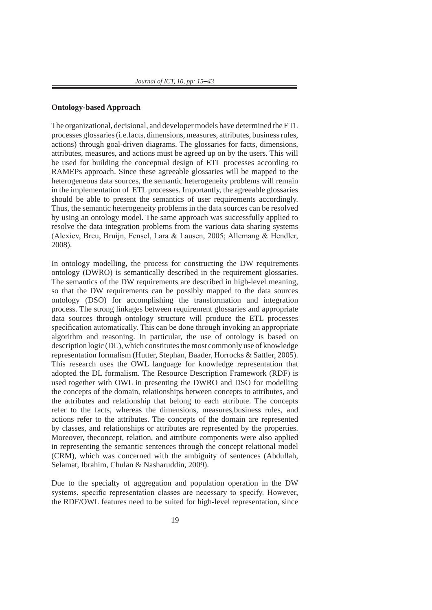### **Ontology-based Approach**

The organizational, decisional, and developer models have determined the ETL processes glossaries (i.e.facts, dimensions, measures, attributes, business rules, actions) through goal-driven diagrams. The glossaries for facts, dimensions, attributes, measures, and actions must be agreed up on by the users. This will be used for building the conceptual design of ETL processes according to RAMEPs approach. Since these agreeable glossaries will be mapped to the heterogeneous data sources, the semantic heterogeneity problems will remain in the implementation of ETL processes. Importantly, the agreeable glossaries should be able to present the semantics of user requirements accordingly. Thus, the semantic heterogeneity problems in the data sources can be resolved by using an ontology model. The same approach was successfully applied to resolve the data integration problems from the various data sharing systems (Alexiev, Breu, Bruijn, Fensel, Lara & Lausen, 2005; Allemang & Hendler, 2008).

In ontology modelling, the process for constructing the DW requirements ontology (DWRO) is semantically described in the requirement glossaries. The semantics of the DW requirements are described in high-level meaning, so that the DW requirements can be possibly mapped to the data sources ontology (DSO) for accomplishing the transformation and integration process. The strong linkages between requirement glossaries and appropriate data sources through ontology structure will produce the ETL processes specification automatically. This can be done through invoking an appropriate algorithm and reasoning. In particular, the use of ontology is based on description logic (DL), which constitutes the most commonly use of knowledge representation formalism (Hutter, Stephan, Baader, Horrocks & Sattler, 2005). This research uses the OWL language for knowledge representation that adopted the DL formalism. The Resource Description Framework (RDF) is used together with OWL in presenting the DWRO and DSO for modelling the concepts of the domain, relationships between concepts to attributes, and the attributes and relationship that belong to each attribute. The concepts refer to the facts, whereas the dimensions, measures,business rules, and actions refer to the attributes. The concepts of the domain are represented by classes, and relationships or attributes are represented by the properties. Moreover, theconcept, relation, and attribute components were also applied in representing the semantic sentences through the concept relational model (CRM), which was concerned with the ambiguity of sentences (Abdullah, Selamat, Ibrahim, Chulan & Nasharuddin, 2009).

Due to the specialty of aggregation and population operation in the DW systems, specific representation classes are necessary to specify. However, the RDF/OWL features need to be suited for high-level representation, since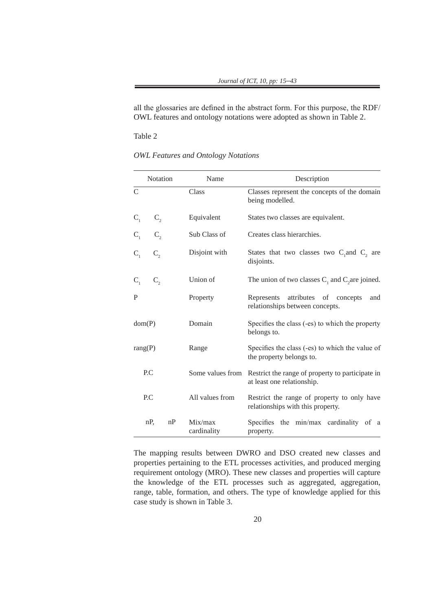all the glossaries are defined in the abstract form. For this purpose, the RDF/ OWL features and ontology notations were adopted as shown in Table 2.

Table 2

|                | Notation  | Name                   | Description                                                                      |
|----------------|-----------|------------------------|----------------------------------------------------------------------------------|
| $\mathcal{C}$  |           | Class                  | Classes represent the concepts of the domain<br>being modelled.                  |
| C <sub>1</sub> | $C_{2}$   | Equivalent             | States two classes are equivalent.                                               |
|                | $C_{2}$   | Sub Class of           | Creates class hierarchies.                                                       |
|                | $C_{2}$   | Disjoint with          | States that two classes two $C_1$ and $C_2$ are<br>disjoints.                    |
| $C_{1}$        | $C_{2}$   | Union of               | The union of two classes $C_1$ and $C_2$ are joined.                             |
| P              |           | Property               | attributes of concepts<br>Represents<br>and<br>relationships between concepts.   |
|                | dom(P)    | Domain                 | Specifies the class (-es) to which the property<br>belongs to.                   |
| rang(P)        |           | Range                  | Specifies the class (-es) to which the value of<br>the property belongs to.      |
|                | P.C       | Some values from       | Restrict the range of property to participate in<br>at least one relationship.   |
|                | P.C       | All values from        | Restrict the range of property to only have<br>relationships with this property. |
|                | nP,<br>nP | Mix/max<br>cardinality | Specifies the min/max cardinality of<br><sub>a</sub><br>property.                |

The mapping results between DWRO and DSO created new classes and properties pertaining to the ETL processes activities, and produced merging requirement ontology (MRO). These new classes and properties will capture the knowledge of the ETL processes such as aggregated, aggregation, range, table, formation, and others. The type of knowledge applied for this case study is shown in Table 3.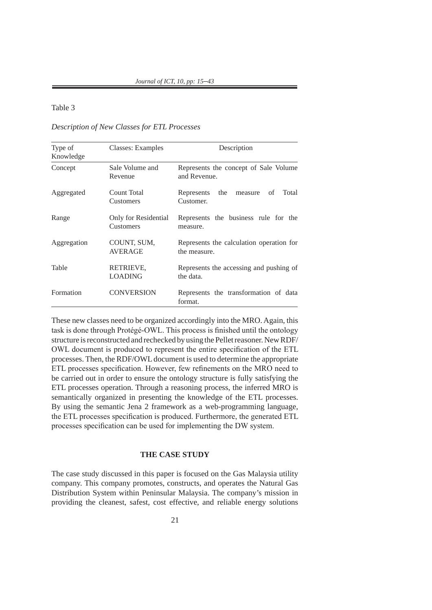# Table 3

# *Description of New Classes for ETL Processes*

| Type of<br>Knowledge | Classes: Examples                 | Description                                              |
|----------------------|-----------------------------------|----------------------------------------------------------|
| Concept              | Sale Volume and<br>Revenue        | Represents the concept of Sale Volume<br>and Revenue.    |
| Aggregated           | Count Total<br>Customers          | Total<br>Represents<br>the<br>οf<br>measure<br>Customer. |
| Range                | Only for Residential<br>Customers | Represents the business rule for the<br>measure.         |
| Aggregation          | COUNT, SUM,<br><b>AVERAGE</b>     | Represents the calculation operation for<br>the measure. |
| Table                | RETRIEVE,<br><b>LOADING</b>       | Represents the accessing and pushing of<br>the data.     |
| Formation            | <b>CONVERSION</b>                 | Represents the transformation of data<br>format.         |

These new classes need to be organized accordingly into the MRO. Again, this task is done through Protégé-OWL. This process is finished until the ontology structure is reconstructed and rechecked by using the Pellet reasoner. New RDF/ OWL document is produced to represent the entire specification of the ETL processes. Then, the RDF/OWL document is used to determine the appropriate ETL processes specification. However, few refinements on the MRO need to be carried out in order to ensure the ontology structure is fully satisfying the ETL processes operation. Through a reasoning process, the inferred MRO is semantically organized in presenting the knowledge of the ETL processes. By using the semantic Jena 2 framework as a web-programming language, the ETL processes specification is produced. Furthermore, the generated ETL processes specification can be used for implementing the DW system.

#### **THE CASE STUDY**

The case study discussed in this paper is focused on the Gas Malaysia utility company. This company promotes, constructs, and operates the Natural Gas Distribution System within Peninsular Malaysia. The company's mission in providing the cleanest, safest, cost effective, and reliable energy solutions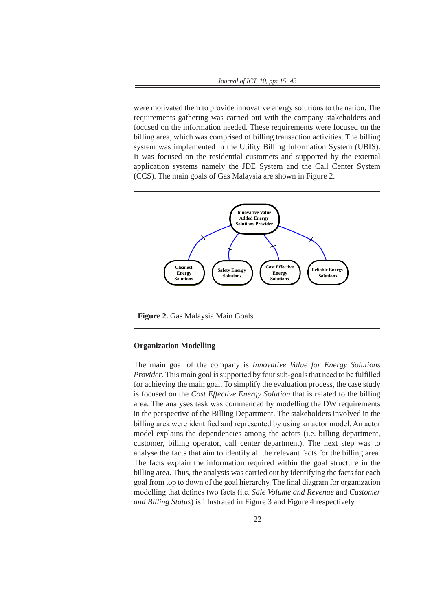were motivated them to provide innovative energy solutions to the nation. The requirements gathering was carried out with the company stakeholders and focused on the information needed. These requirements were focused on the billing area, which was comprised of billing transaction activities. The billing system was implemented in the Utility Billing Information System (UBIS). It was focused on the residential customers and supported by the external application systems namely the JDE System and the Call Center System (CCS). The main goals of Gas Malaysia are shown in Figure 2.



# **Organization Modelling**

The main goal of the company is *Innovative Value for Energy Solutions Provider*. This main goal is supported by four sub-goals that need to be fulfilled for achieving the main goal. To simplify the evaluation process, the case study is focused on the *Cost Effective Energy Solution* that is related to the billing area. The analyses task was commenced by modelling the DW requirements in the perspective of the Billing Department. The stakeholders involved in the billing area were identified and represented by using an actor model. An actor model explains the dependencies among the actors (i.e. billing department, customer, billing operator, call center department). The next step was to analyse the facts that aim to identify all the relevant facts for the billing area. The facts explain the information required within the goal structure in the  $\frac{1}{2}$ billing area. Thus, the analysis was carried out by identifying the facts for each  $\overline{\phantom{a}}$ goal from top to down of the goal hierarchy. The final diagram for organization modelling that defines two facts (i.e. *Sale Volume and Revenue* and *Customer and Billing Status*) is illustrated in Figure 3 and Figure 4 respectively.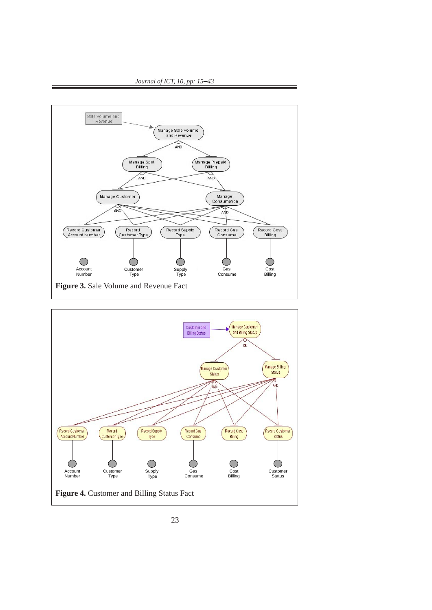

*Journal of ICT, 10, pp: 15*–*43*

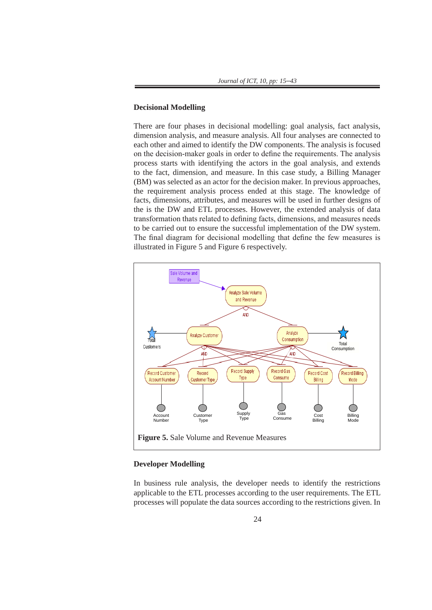#### **Decisional Modelling** measure and Modelling. All four analyses are connected to each other and aimed to identify the DW set of the DW set of DW set of the DW set of the DW set of the DW set of the DW set of the DW set of the DW set of the DW se **Decisional Modelling**

There are four phases in decisional modelling: goal analysis, fact analysis, dimension analysis, and measure analysis. All four analyses are connected to each other and aimed to identify the DW components. The analysis is focused on the decision-maker goals in order to define the requirements. The analysis narrows, attack with identifying the extens in the goal englyies, and entands process starts with identifying the actors in the goal analysis, and extends process starts with identifying the actors in the goal analysis, and extends<br>to the fact, dimension, and measure. In this case study, a Billing Manager to the ract, dimension, and measure. In this case study, a Billing Manager<br>(BM) was selected as an actor for the decision maker. In previous approaches, the requirement analysis process ended at this stage. The knowledge of facts, dimensions, attributes, and measures will be used in further designs of the is the DW and ETL processes. However, the extended analysis of data transformation thats related to defining facts, dimensions, and measures needs to be carried out to ensure the successful implementation of the DW system. The final diagram for decisional modelling that define the few measures is illustrated in Figure 5 and Figure 6 respectively.



#### **Developer Modelling**

In business rule analysis, the developer needs to identify the restrictions applicable to the ETL processes according to the user requirements. The ETL processes will populate the data sources according to the restrictions given. In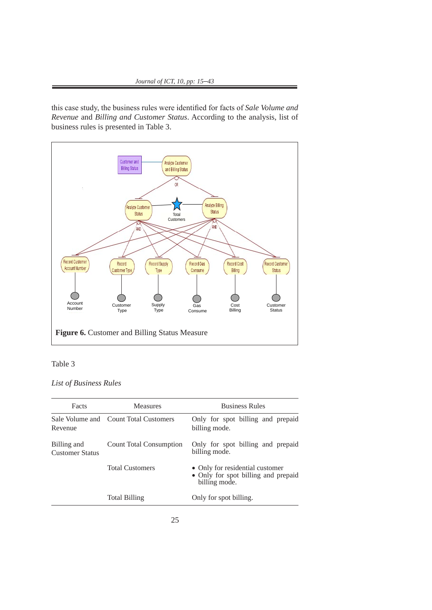this case study, the business rules were identified for facts of *Sale Volume and Revenue* and *Billing and Customer Status*. According to the analysis, list of business rules is presented in Table 3.





*List of Business Rules*

|         | Facts                                 | <b>Measures</b>                | <b>Business Rules</b>                                                                   |
|---------|---------------------------------------|--------------------------------|-----------------------------------------------------------------------------------------|
| Revenue | Sale Volume and                       | <b>Count Total Customers</b>   | Only for spot billing and prepaid<br>billing mode.                                      |
|         | Billing and<br><b>Customer Status</b> | <b>Count Total Consumption</b> | Only for spot billing and prepaid<br>billing mode.                                      |
|         |                                       | <b>Total Customers</b>         | • Only for residential customer<br>• Only for spot billing and prepaid<br>billing mode. |
|         |                                       | <b>Total Billing</b>           | Only for spot billing.                                                                  |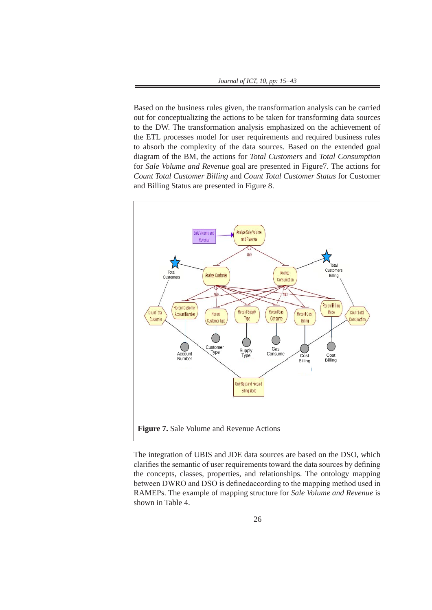Based on the business rules given, the transformation analysis can be carried  $\alpha$  and  $\beta$  consented in  $\beta$  are presented in  $\alpha$  the estimate has the presented in Figure 7. The presented in Figure 7. The presented in Fi out for conceptualizing the actions to be taken for transforming data sources for the DW. The transformation analysis emphasized on the achievement of the ETL processes model for user requirements and required business rules to absorb the complexity of the data sources. Based on the extended goal diagram of the BM, the actions for *Total Customers* and *Total Consumption* for *Sale Volume and Revenue* goal are presented in Figure7. The actions for *Count Total Customer Billing* and *Count Total Customer Status* for Customer and Billing Status are presented in Figure 8.



The integration of UBIS and JDE data sources are based on the DSO, which clarifies the semantic of user requirements toward the data sources by defining the concepts, classes, properties, and relationships. The ontology mapping between DWRO and DSO is definedaccording to the mapping method used in RAMEPs. The example of mapping structure for *Sale Volume and Revenue* is shown in Table 4.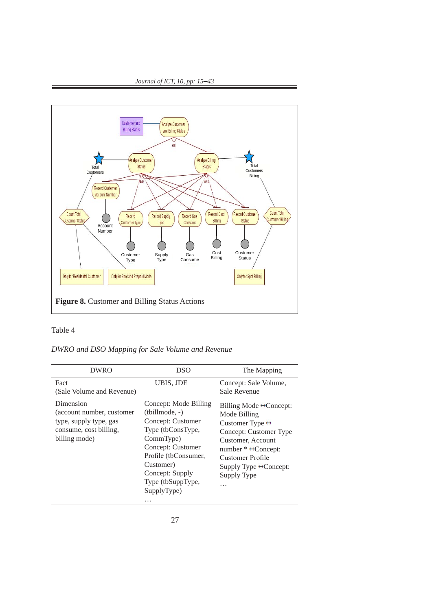



# Table 4

# *DWRO and DSO Mapping for Sale Volume and Revenue*

| <b>DWRO</b>                                                                                                  | <b>DSO</b>                                                                                                                                                                                                      | The Mapping                                                                                                                                                                                                                                                           |
|--------------------------------------------------------------------------------------------------------------|-----------------------------------------------------------------------------------------------------------------------------------------------------------------------------------------------------------------|-----------------------------------------------------------------------------------------------------------------------------------------------------------------------------------------------------------------------------------------------------------------------|
| Fact<br>(Sale Volume and Revenue)                                                                            | UBIS, JDE                                                                                                                                                                                                       | Concept: Sale Volume,<br>Sale Revenue                                                                                                                                                                                                                                 |
| Dimension<br>(account number, customer)<br>type, supply type, gas<br>consume, cost billing,<br>billing mode) | Concept: Mode Billing<br>(tbillmode, -)<br>Concept: Customer<br>Type (tbConsType,<br>CommType)<br>Concept: Customer<br>Profile (tbConsumer,<br>Customer)<br>Concept: Supply<br>Type (tbSuppType,<br>SupplyType) | Billing Mode $\leftrightarrow$ Concept:<br>Mode Billing<br>Customer Type $\leftrightarrow$<br>Concept: Customer Type<br>Customer, Account<br>number $* \leftrightarrow$ Concept:<br><b>Customer Profile</b><br>Supply Type $\rightarrow$ Concept:<br>Supply Type<br>. |
|                                                                                                              | $\cdots$                                                                                                                                                                                                        |                                                                                                                                                                                                                                                                       |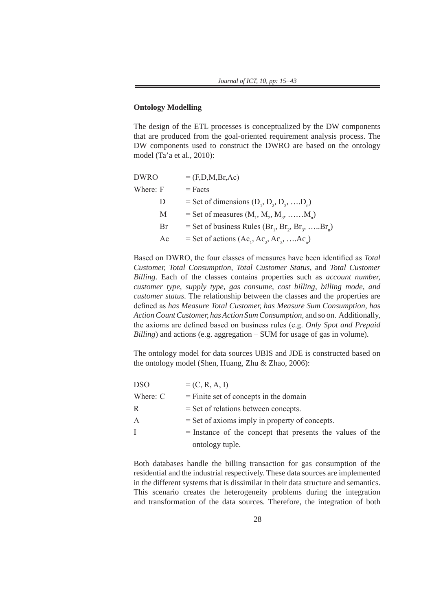# **Ontology Modelling**

The design of the ETL processes is conceptualized by the DW components that are produced from the goal-oriented requirement analysis process. The DW components used to construct the DWRO are based on the ontology model (Ta'a et al., 2010):

| <b>DWRO</b> | $=$ (F,D,M,Br,Ac)                                                                                |
|-------------|--------------------------------------------------------------------------------------------------|
| Where: F    | $=$ Facts                                                                                        |
| D           | = Set of dimensions $(D_1, D_2, D_3, \ldots, D_n)$                                               |
| M           | = Set of measures $(M_1, M_2, M_3, \ldots, M_n)$                                                 |
| Br          | = Set of business Rules (Br <sub>1</sub> , Br <sub>2</sub> , Br <sub>3</sub> , Br <sub>n</sub> ) |
| Ac          | = Set of actions $(Ac_1, Ac_2, Ac_3, Ac_n)$                                                      |

Based on DWRO, the four classes of measures have been identified as *Total Customer, Total Consumption, Total Customer Status*, and *Total Customer Billing*. Each of the classes contains properties such as *account number, customer type, supply type, gas consume, cost billing, billing mode, and customer status*. The relationship between the classes and the properties are defined as *has Measure Total Customer, has Measure Sum Consumption, has Action Count Customer, has Action Sum Consumption*, and so on. Additionally, the axioms are defined based on business rules (e.g. *Only Spot and Prepaid Billing*) and actions (e.g. aggregation – SUM for usage of gas in volume).

The ontology model for data sources UBIS and JDE is constructed based on the ontology model (Shen, Huang, Zhu & Zhao, 2006):

| <b>DSO</b> | $= (C, R, A, I)$                                            |
|------------|-------------------------------------------------------------|
| Where: C   | $=$ Finite set of concepts in the domain                    |
| R          | $=$ Set of relations between concepts.                      |
| A          | $=$ Set of axioms imply in property of concepts.            |
| T          | $=$ Instance of the concept that presents the values of the |
|            | ontology tuple.                                             |

Both databases handle the billing transaction for gas consumption of the residential and the industrial respectively. These data sources are implemented in the different systems that is dissimilar in their data structure and semantics. This scenario creates the heterogeneity problems during the integration and transformation of the data sources. Therefore, the integration of both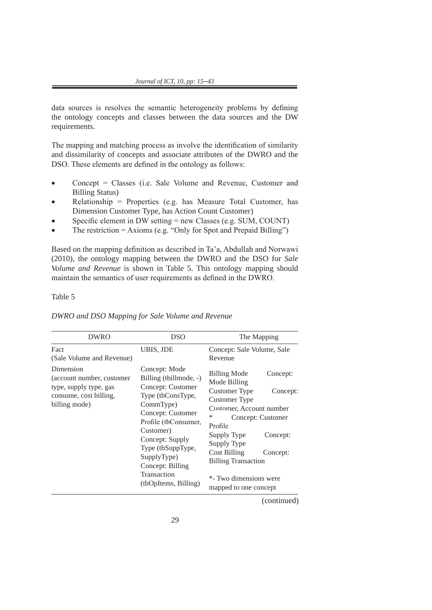data sources is resolves the semantic heterogeneity problems by defining the ontology concepts and classes between the data sources and the DW requirements.

The mapping and matching process as involve the identification of similarity and dissimilarity of concepts and associate attributes of the DWRO and the DSO. These elements are defined in the ontology as follows:

- Concept = Classes (i.e. Sale Volume and Revenue, Customer and Billing Status)
- $Relationship = Properties (e.g. has Measure Total Customer, has$ Dimension Customer Type, has Action Count Customer)
- Specific element in DW setting  $=$  new Classes (e.g. SUM, COUNT)
- The restriction  $=$  Axioms (e.g. "Only for Spot and Prepaid Billing")

Based on the mapping definition as described in Ta'a, Abdullah and Norwawi (2010), the ontology mapping between the DWRO and the DSO for *Sale Volume and Revenue* is shown in Table 5. This ontology mapping should maintain the semantics of user requirements as defined in the DWRO.

# Table 5

| <b>DWRO</b>                                                                                    | <b>DSO</b>                                                                                                                                                                                                                                                | The Mapping                                                                                                                                                                                                                                                                                                                |
|------------------------------------------------------------------------------------------------|-----------------------------------------------------------------------------------------------------------------------------------------------------------------------------------------------------------------------------------------------------------|----------------------------------------------------------------------------------------------------------------------------------------------------------------------------------------------------------------------------------------------------------------------------------------------------------------------------|
| Fact<br>(Sale Volume and Revenue)<br>Dimension                                                 | UBIS, JDE<br>Concept: Mode                                                                                                                                                                                                                                | Concept: Sale Volume, Sale<br>Revenue                                                                                                                                                                                                                                                                                      |
| (account number, customer<br>type, supply type, gas<br>consume, cost billing,<br>billing mode) | Billing (tbillmode, -)<br>Concept: Customer<br>Type (tbConsType,<br>CommType)<br>Concept: Customer<br>Profile (tbConsumer,<br>Customer)<br>Concept: Supply<br>Type (tbSuppType,<br>SupplyType)<br>Concept: Billing<br>Transaction<br>(tbOpItems, Billing) | <b>Billing Mode</b><br>Concept:<br>Mode Billing<br>Customer Type<br>Concept:<br>Customer Type<br>Customer, Account number<br>$\ast$<br>Concept: Customer<br>Profile<br>Supply Type<br>Concept:<br>Supply Type<br>Cost Billing<br>Concept:<br><b>Billing Transaction</b><br>*- Two dimensions were<br>mapped to one concept |

#### *DWRO and DSO Mapping for Sale Volume and Revenue*

(continued)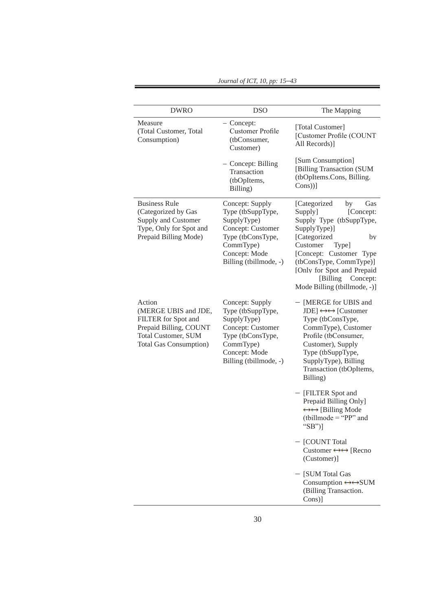| <b>DWRO</b>                                                                                                                                     | <b>DSO</b>                                                                                                                                            | The Mapping                                                                                                                                                                                                                                                                       |
|-------------------------------------------------------------------------------------------------------------------------------------------------|-------------------------------------------------------------------------------------------------------------------------------------------------------|-----------------------------------------------------------------------------------------------------------------------------------------------------------------------------------------------------------------------------------------------------------------------------------|
| Measure<br>(Total Customer, Total<br>Consumption)                                                                                               | - Concept:<br><b>Customer Profile</b><br>(tbConsumer,<br>Customer)                                                                                    | [Total Customer]<br>[Customer Profile (COUNT<br>All Records)]                                                                                                                                                                                                                     |
|                                                                                                                                                 | - Concept: Billing<br>Transaction<br>(tbOpItems,<br>Billing)                                                                                          | [Sum Consumption]<br>[Billing Transaction (SUM<br>(tbOpItems.Cons, Billing.<br>$Cons$ )]                                                                                                                                                                                          |
| <b>Business Rule</b><br>(Categorized by Gas<br>Supply and Customer<br>Type, Only for Spot and<br>Prepaid Billing Mode)                          | Concept: Supply<br>Type (tbSuppType,<br>SupplyType)<br>Concept: Customer<br>Type (tbConsType,<br>CommType)<br>Concept: Mode<br>Billing (tbillmode, -) | [Categorized<br>Gas<br>by<br>Supply]<br>[Concept:<br>Supply Type (tbSuppType,<br>SupplyType)]<br>[Categorized<br>by<br>Customer<br>Type]<br>[Concept: Customer Type<br>(tbConsType, CommType)]<br>[Only for Spot and Prepaid<br>[Billing Concept:<br>Mode Billing (tbillmode, -)] |
| Action<br>(MERGE UBIS and JDE,<br>FILTER for Spot and<br>Prepaid Billing, COUNT<br><b>Total Customer, SUM</b><br><b>Total Gas Consumption</b> ) | Concept: Supply<br>Type (tbSuppType,<br>SupplyType)<br>Concept: Customer<br>Type (tbConsType,<br>CommType)<br>Concept: Mode<br>Billing (tbillmode, -) | - [MERGE for UBIS and<br>JDE] $\leftrightarrow$ [Customer<br>Type (tbConsType,<br>CommType), Customer<br>Profile (tbConsumer,<br>Customer), Supply<br>Type (tbSuppType,<br>SupplyType), Billing<br>Transaction (tbOpItems,<br>Billing)                                            |
|                                                                                                                                                 |                                                                                                                                                       | - [FILTER Spot and<br>Prepaid Billing Only]<br>$\leftrightarrow$ [Billing Mode<br>(tbillmode = "PP" and<br>"SB")]                                                                                                                                                                 |
|                                                                                                                                                 |                                                                                                                                                       | - [COUNT Total<br>Customer $\leftrightarrow$ [Recno]<br>(Customer)]                                                                                                                                                                                                               |
|                                                                                                                                                 |                                                                                                                                                       | - [SUM Total Gas<br>Consumption $\leftrightarrow$ SUM<br>(Billing Transaction.<br>Cons)]                                                                                                                                                                                          |

*Journal of ICT, 10, pp: 15*–*43*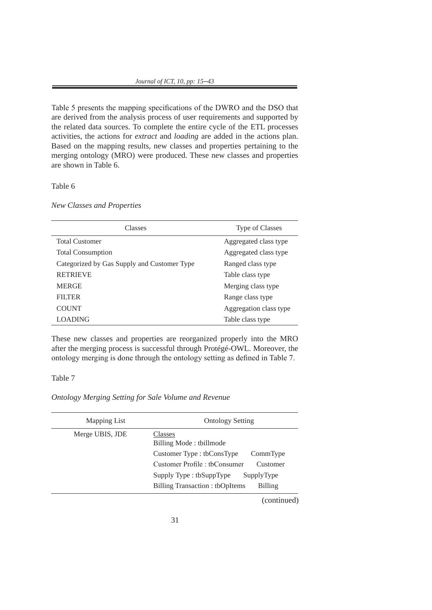Table 5 presents the mapping specifications of the DWRO and the DSO that are derived from the analysis process of user requirements and supported by the related data sources. To complete the entire cycle of the ETL processes activities, the actions for *extract* and *loading* are added in the actions plan. Based on the mapping results, new classes and properties pertaining to the merging ontology (MRO) were produced. These new classes and properties are shown in Table 6.

# Table 6

*New Classes and Properties*

| Classes                                     | Type of Classes        |
|---------------------------------------------|------------------------|
| <b>Total Customer</b>                       | Aggregated class type  |
| <b>Total Consumption</b>                    | Aggregated class type  |
| Categorized by Gas Supply and Customer Type | Ranged class type      |
| <b>RETRIEVE</b>                             | Table class type       |
| <b>MERGE</b>                                | Merging class type     |
| <b>FILTER</b>                               | Range class type       |
| <b>COUNT</b>                                | Aggregation class type |
| <b>LOADING</b>                              | Table class type       |

These new classes and properties are reorganized properly into the MRO after the merging process is successful through Protégé-OWL. Moreover, the ontology merging is done through the ontology setting as defined in Table 7.

# Table 7

*Ontology Merging Setting for Sale Volume and Revenue*

| Mapping List    | <b>Ontology Setting</b>                                                                                                                                                                                                 |
|-----------------|-------------------------------------------------------------------------------------------------------------------------------------------------------------------------------------------------------------------------|
| Merge UBIS, JDE | Classes<br>Billing Mode: tbillmode<br>Customer Type : tbConsType<br>CommType<br>Customer Profile : tbConsumer<br>Customer<br>Supply Type : tbSuppType<br>SupplyType<br>Billing Transaction: tbOpItems<br><b>Billing</b> |
|                 |                                                                                                                                                                                                                         |

(continued)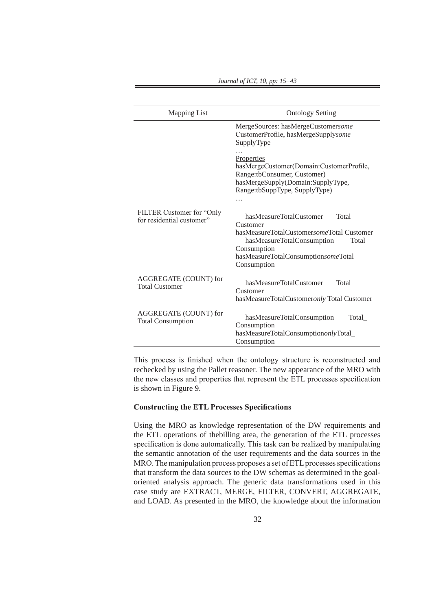| Mapping List                                            | <b>Ontology Setting</b>                                                                                                                                                                               |  |  |
|---------------------------------------------------------|-------------------------------------------------------------------------------------------------------------------------------------------------------------------------------------------------------|--|--|
|                                                         | MergeSources: hasMergeCustomersome<br>CustomerProfile, hasMergeSupplysome<br>SupplyType                                                                                                               |  |  |
|                                                         | <b>Properties</b><br>hasMergeCustomer(Domain:CustomerProfile,<br>Range:tbConsumer, Customer)<br>hasMergeSupply(Domain:SupplyType,<br>Range:tbSuppType, SupplyType)<br>.                               |  |  |
| FILTER Customer for "Only"<br>for residential customer" | hasMeasureTotalCustomer<br>Total<br>Customer<br>hasMeasureTotalCustomersomeTotal Customer<br>hasMeasureTotalConsumption<br>Total<br>Consumption<br>hasMeasureTotalConsumptionsomeTotal<br>Consumption |  |  |
| AGGREGATE (COUNT) for<br><b>Total Customer</b>          | hasMeasureTotalCustomer<br>Total<br>Customer<br>hasMeasureTotalCustomeronly Total Customer                                                                                                            |  |  |
| AGGREGATE (COUNT) for<br><b>Total Consumption</b>       | hasMeasureTotalConsumption<br>Total<br>Consumption<br>hasMeasureTotalConsumptiononlyTotal_<br>Consumption                                                                                             |  |  |

This process is finished when the ontology structure is reconstructed and rechecked by using the Pallet reasoner. The new appearance of the MRO with the new classes and properties that represent the ETL processes specification is shown in Figure 9.

# **Constructing the ETL Processes Specifications**

Using the MRO as knowledge representation of the DW requirements and the ETL operations of thebilling area, the generation of the ETL processes specification is done automatically. This task can be realized by manipulating the semantic annotation of the user requirements and the data sources in the MRO. The manipulation process proposes a set of ETL processes specifications that transform the data sources to the DW schemas as determined in the goaloriented analysis approach. The generic data transformations used in this case study are EXTRACT, MERGE, FILTER, CONVERT, AGGREGATE, and LOAD. As presented in the MRO, the knowledge about the information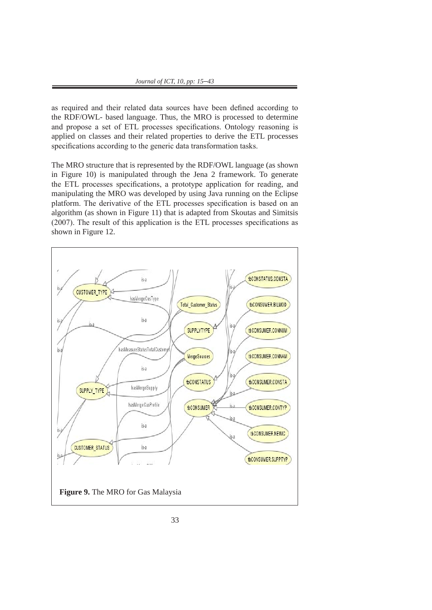as required and their related data sources have been defined according to the RDF/OWL- based language. Thus, the MRO is processed to determine and propose a set of ETL processes specifications. Ontology reasoning is applied on classes and their related properties to derive the ETL processes specifications according to the generic data transformation tasks.

The MRO structure that is represented by the RDF/OWL language (as shown in Figure 10) is manipulated through the Jena 2 framework. To generate the ETL processes specifications, a prototype application for reading, and manipulating the MRO was developed by using Java running on the Eclipse platform. The derivative of the ETL processes specification is based on an algorithm (as shown in Figure 11) that is adapted from Skoutas and Simitsis (2007). The result of this application is the ETL processes specifications as shown in Figure 12.

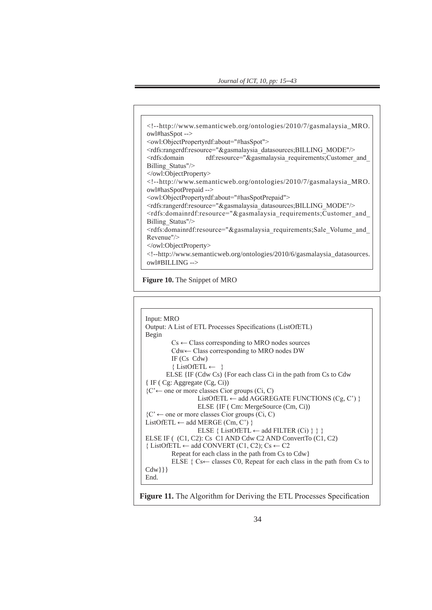```
<!--http://www.semanticweb.org/ontologies/2010/7/gasmalaysia_MRO.
owl#hasSpot -->
<owl:ObjectPropertyrdf:about="#hasSpot">
<rdfs:rangerdf:resource="&gasmalaysia_datasources;BILLING_MODE"/>
<rdfs:domain rdf:resource="&gasmalaysia_requirements;Customer_and_
Billing_Status"/>
</owl:ObjectProperty>
<!--http://www.semanticweb.org/ontologies/2010/7/gasmalaysia_MRO.
owl#hasSpotPrepaid -->
<owl:ObjectPropertyrdf:about="#hasSpotPrepaid">
<rdfs:rangerdf:resource="&gasmalaysia_datasources;BILLING_MODE"/>
\leqrdfs:domainrdf:resource="&gasmalaysia_requirements;Customer_and
Billing_Status"/>
<rdfs:domainrdf:resource="&gasmalaysia_requirements;Sale_Volume_and_
Revenue"/>
</owl:ObjectProperty>
<!--http://www.semanticweb.org/ontologies/2010/6/gasmalaysia_datasources.
owl#BILLING -->
```
**Figure 10.** The Snippet of MRO



**Figure 11.** The Algorithm for Deriving the ETL Processes Specification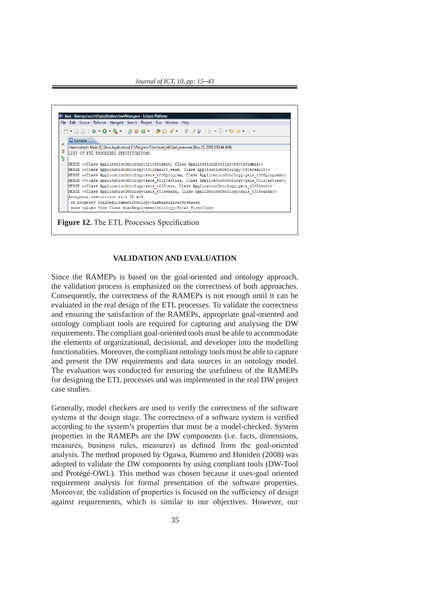



# **VALIDATION AND EVALUATION VALIDATION AND EVALUATION**

Since the RAMEPs is based on the goal-oriented and ontology approach, the validation process is emphasized on the correctness of both approaches. Consequently, the correctness of the RAMEPs is not enough until it can be evaluated in the real design of the ETL processes. To validate the correctness evaluated in the real design of the ETE processes. To vanitate the correctness<br>and ensuring the satisfaction of the RAMEPs, appropriate goal-oriented and ontology compliant tools are required for capturing and analysing the DW requirements. The compliant goal-oriented tools must be able to accommodate the elements of organizational, decisional, and developer into the modelling functionalities. Moreover, the compliant ontology tools must be able to capture and present the DW requirements and data sources in an ontology model. The evaluation was conducted for ensuring the usefulness of the RAMEPs for designing the ETL processes and was implemented in the real DW project case studies. System properties in the RAMEPS are the RAMEPS are the RAMEPS are the DW components (i.e. facts, dimensions, dimensions, dimensions, dimensions, dimensions, dimensions, dimensions, dimensions, dimensions, dim and capturing the satisfaction of the RAMErs, appropriate goal-oriented and

Generally, model checkers are used to verify the correctness of the software systems at the design stage. The correctness of a software system is verified according to the system's properties that must be a model-checked. System properties in the RAMEPs are the DW components (i.e. facts, dimensions, measures, business rules, measures) as defined from the goal-oriented analysis. The method proposed by Ogawa, Kumeno and Honiden (2008) was adopted to validate the DW components by using compliant tools (DW-Tool and Protégé-OWL). This method was chosen because it uses-goal oriented requirement analysis for formal presentation of the software properties. Moreover, the validation of properties is focused on the sufficiency of design against requirements, which is similar to our objectives. However, our beherary, moder encerets are used to verify the correctness of the software against requirements, which is similar to our objectives. However, our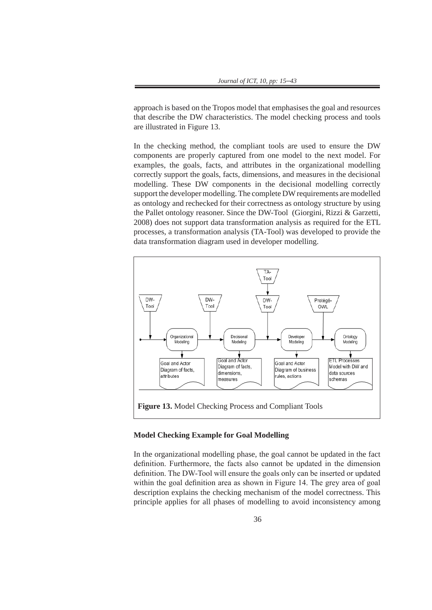approach is based on the Tropos model that emphasises the goal and resources that describe the DW characteristics. The model checking process and tools are illustrated in Figure 13.

In the checking method, the compliant tools are used to ensure the DW components are properly captured from one model to the next model. For examples, the goals, facts, and attributes in the organizational modelling correctly support the goals, facts, dimensions, and measures in the decisional modelling. These DW components in the decisional modelling correctly support the developer modelling. The complete DW requirements are modelled as ontology and rechecked for their correctness as ontology structure by using the Pallet ontology reasoner. Since the DW-Tool (Giorgini, Rizzi & Garzetti, 2008) does not support data transformation analysis as required for the ETL processes, a transformation analysis (TA-Tool) was developed to provide the data transformation diagram used in developer modelling.



# **Model Checking Example for Goal Modelling**

In the organizational modelling phase, the goal cannot be updated in the fact definition. Furthermore, the facts also cannot be updated in the dimension definition. The DW-Tool will ensure the goals only can be inserted or updated within the goal definition area as shown in Figure 14. The grey area of goal description explains the checking mechanism of the model correctness. This principle applies for all phases of modelling to avoid inconsistency among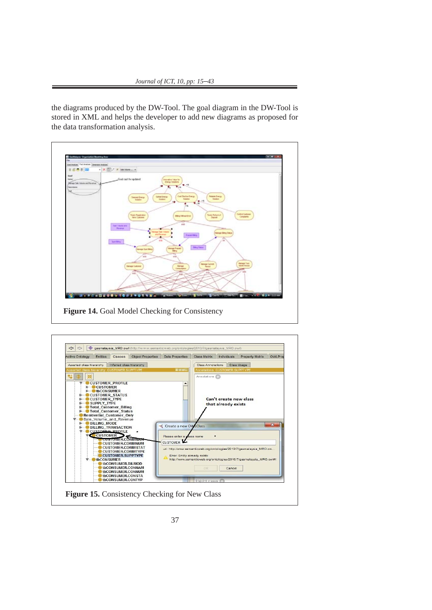*Journal of ICT, 10, pp: 15–43* 

diagram in the DW-Tool is stored in XML and helps the developer to add new diagrams as proposed for a proposed

the diagrams produced by the DW-Tool. The goal diagram in the DW-Tool is stored in XML and helps the developer to add new diagrams as proposed for the data transformation analysis.



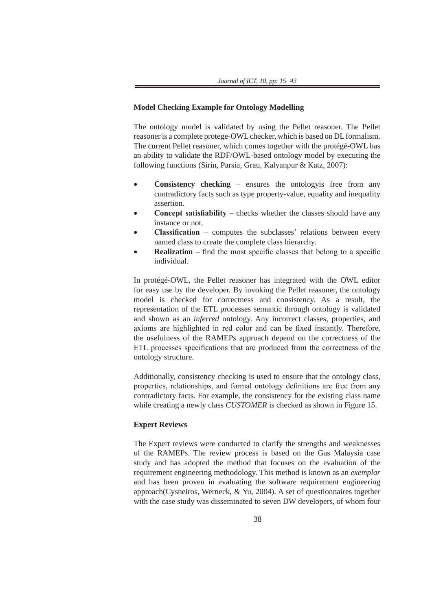# **Model Checking Example for Ontology Modelling**

The ontology model is validated by using the Pellet reasoner. The Pellet reasoner is a complete protege-OWL checker, which is based on DL formalism. The current Pellet reasoner, which comes together with the protégé-OWL has an ability to validate the RDF/OWL-based ontology model by executing the following functions (Sirin, Parsia, Grau, Kalyanpur & Katz, 2007):

- **Consistency checking** ensures the ontologyis free from any contradictory facts such as type property-value, equality and inequality assertion.
- **Concept satisfiability** checks whether the classes should have any instance or not.
- **Classification** computes the subclasses' relations between every named class to create the complete class hierarchy.
- **Realization** find the most specific classes that belong to a specific individual.

In protégé-OWL, the Pellet reasoner has integrated with the OWL editor for easy use by the developer. By invoking the Pellet reasoner, the ontology model is checked for correctness and consistency. As a result, the representation of the ETL processes semantic through ontology is validated and shown as an *inferred* ontology. Any incorrect classes, properties, and axioms are highlighted in red color and can be fixed instantly. Therefore, the usefulness of the RAMEPs approach depend on the correctness of the ETL processes specifications that are produced from the correctness of the ontology structure.

Additionally, consistency checking is used to ensure that the ontology class, properties, relationships, and formal ontology definitions are free from any contradictory facts. For example, the consistency for the existing class name while creating a newly class *CUSTOMER* is checked as shown in Figure 15.

# **Expert Reviews**

The Expert reviews were conducted to clarify the strengths and weaknesses of the RAMEPs. The review process is based on the Gas Malaysia case study and has adopted the method that focuses on the evaluation of the requirement engineering methodology. This method is known as an *exemplar* and has been proven in evaluating the software requirement engineering approach(Cysneiros, Werneck, & Yu, 2004). A set of questionnaires together with the case study was disseminated to seven DW developers, of whom four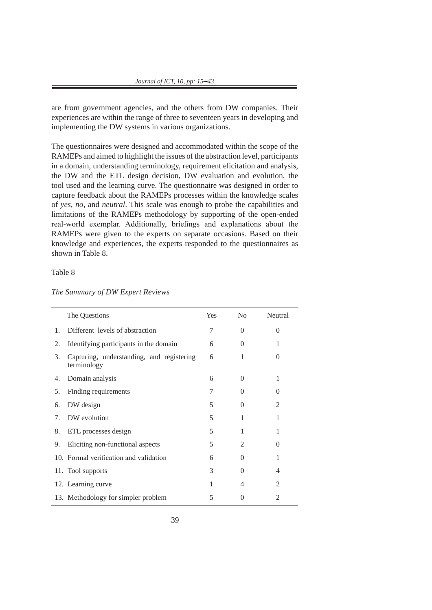are from government agencies, and the others from DW companies. Their experiences are within the range of three to seventeen years in developing and implementing the DW systems in various organizations.

The questionnaires were designed and accommodated within the scope of the RAMEPs and aimed to highlight the issues of the abstraction level, participants in a domain, understanding terminology, requirement elicitation and analysis, the DW and the ETL design decision, DW evaluation and evolution, the tool used and the learning curve. The questionnaire was designed in order to capture feedback about the RAMEPs processes within the knowledge scales of *yes, no,* and *neutral*. This scale was enough to probe the capabilities and limitations of the RAMEPs methodology by supporting of the open-ended real-world exemplar. Additionally, briefings and explanations about the RAMEPs were given to the experts on separate occasions. Based on their knowledge and experiences, the experts responded to the questionnaires as shown in Table 8.

Table 8

|    | The Questions                                            | Yes | No       | Neutral        |
|----|----------------------------------------------------------|-----|----------|----------------|
| 1. | Different levels of abstraction                          | 7   | $\Omega$ | $\Omega$       |
| 2. | Identifying participants in the domain                   | 6   | $\Omega$ | 1              |
| 3. | Capturing, understanding, and registering<br>terminology | 6   | 1        | $\theta$       |
| 4. | Domain analysis                                          | 6   | $\Omega$ | 1              |
| 5. | Finding requirements                                     | 7   | 0        | $\Omega$       |
| 6. | DW design                                                | 5   | $\Omega$ | $\overline{2}$ |
| 7. | DW evolution                                             | 5   | 1        | 1              |
| 8. | ETL processes design                                     | 5   | 1        | 1              |
| 9. | Eliciting non-functional aspects                         | 5   | 2        | $\theta$       |
|    | 10. Formal verification and validation                   | 6   | $\Omega$ | 1              |
|    | 11. Tool supports                                        | 3   | 0        | 4              |
|    | 12. Learning curve                                       | 1   | 4        | $\overline{2}$ |
|    | 13. Methodology for simpler problem                      | 5   | $\theta$ | $\overline{2}$ |

*The Summary of DW Expert Reviews*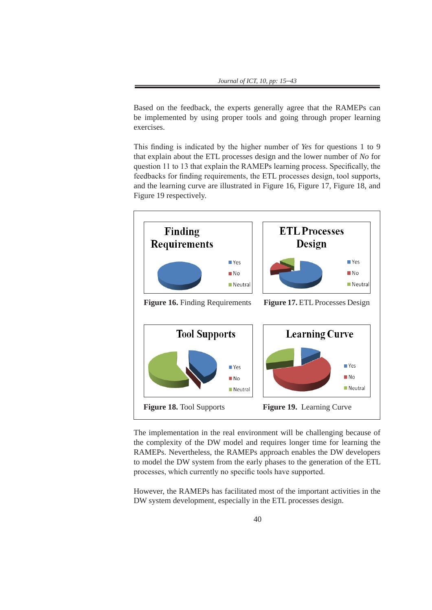Based on the feedback, the experts generally agree that the RAMEPs can be implemented by using proper tools and going through proper learning exercises.

This finding is indicated by the higher number of *Yes* for questions 1 to 9 that explain about the ETL processes design and the lower number of *No* for question 11 to 13 that explain the RAMEPs learning process. Specifically, the feedbacks for finding requirements, the ETL processes design, tool supports, and the learning curve are illustrated in Figure 16, Figure 17, Figure 18, and Figure 19 respectively.



The implementation in the real environment will be challenging because of the complexity of the DW model and requires longer time for learning the RAMEPs. Nevertheless, the RAMEPs approach enables the DW developers to model the DW system from the early phases to the generation of the ETL processes, which currently no specific tools have supported. to model the DW system from the early phases to the generation of the ETL the complexity of the DW model and requires longer time for learning the<br>RAMEPs. Nevertheless, the RAMEPs approach enables the DW developers to model the DW system from the early phases to the generation of the produces supported to the RAMEPS approach changes the B  $\alpha$  developers

However, the RAMEPs has facilitated most of the important activities in the DW system development, especially in the ETL processes design.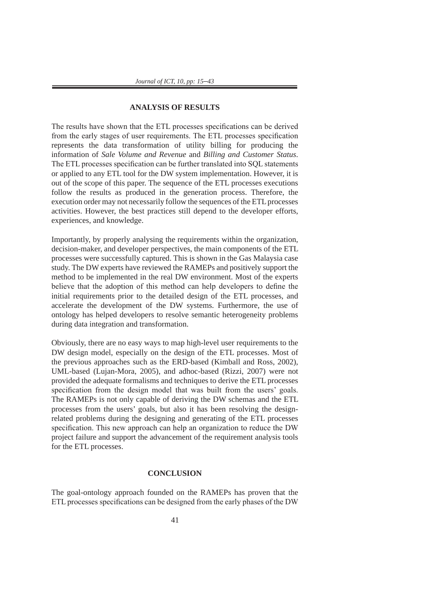## **ANALYSIS OF RESULTS**

The results have shown that the ETL processes specifications can be derived from the early stages of user requirements. The ETL processes specification represents the data transformation of utility billing for producing the information of *Sale Volume and Revenue* and *Billing and Customer Status*. The ETL processes specification can be further translated into SQL statements or applied to any ETL tool for the DW system implementation. However, it is out of the scope of this paper. The sequence of the ETL processes executions follow the results as produced in the generation process. Therefore, the execution order may not necessarily follow the sequences of the ETL processes activities. However, the best practices still depend to the developer efforts, experiences, and knowledge.

Importantly, by properly analysing the requirements within the organization, decision-maker, and developer perspectives, the main components of the ETL processes were successfully captured. This is shown in the Gas Malaysia case study. The DW experts have reviewed the RAMEPs and positively support the method to be implemented in the real DW environment. Most of the experts believe that the adoption of this method can help developers to define the initial requirements prior to the detailed design of the ETL processes, and accelerate the development of the DW systems. Furthermore, the use of ontology has helped developers to resolve semantic heterogeneity problems during data integration and transformation.

Obviously, there are no easy ways to map high-level user requirements to the DW design model, especially on the design of the ETL processes. Most of the previous approaches such as the ERD-based (Kimball and Ross, 2002), UML-based (Lujan-Mora, 2005), and adhoc-based (Rizzi, 2007) were not provided the adequate formalisms and techniques to derive the ETL processes specification from the design model that was built from the users' goals. The RAMEPs is not only capable of deriving the DW schemas and the ETL processes from the users' goals, but also it has been resolving the designrelated problems during the designing and generating of the ETL processes specification. This new approach can help an organization to reduce the DW project failure and support the advancement of the requirement analysis tools for the ETL processes.

#### **CONCLUSION**

The goal-ontology approach founded on the RAMEPs has proven that the ETL processes specifications can be designed from the early phases of the DW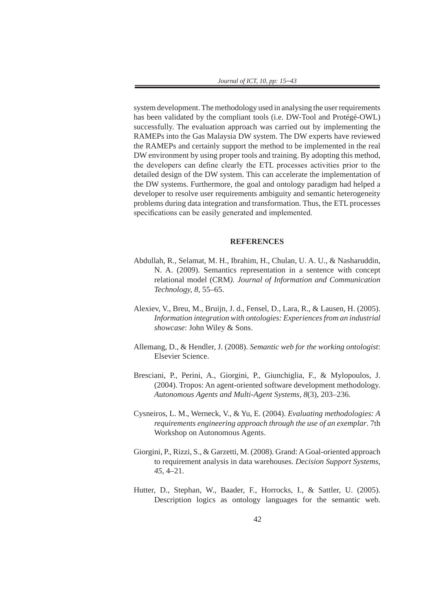system development. The methodology used in analysing the user requirements has been validated by the compliant tools (i.e. DW-Tool and Protégé-OWL) successfully. The evaluation approach was carried out by implementing the RAMEPs into the Gas Malaysia DW system. The DW experts have reviewed the RAMEPs and certainly support the method to be implemented in the real DW environment by using proper tools and training. By adopting this method, the developers can define clearly the ETL processes activities prior to the detailed design of the DW system. This can accelerate the implementation of the DW systems. Furthermore, the goal and ontology paradigm had helped a developer to resolve user requirements ambiguity and semantic heterogeneity problems during data integration and transformation. Thus, the ETL processes specifications can be easily generated and implemented.

## **REFERENCES**

- Abdullah, R., Selamat, M. H., Ibrahim, H., Chulan, U. A. U., & Nasharuddin, N. A. (2009). Semantics representation in a sentence with concept relational model (CRM*). Journal of Information and Communication Technology, 8,* 55–65.
- Alexiev, V., Breu, M., Bruijn, J. d., Fensel, D., Lara, R., & Lausen, H. (2005). *Information integration with ontologies: Experiences from an industrial showcase*: John Wiley & Sons.
- Allemang, D., & Hendler, J. (2008). *Semantic web for the working ontologist*: Elsevier Science.
- Bresciani, P., Perini, A., Giorgini, P., Giunchiglia, F., & Mylopoulos, J. (2004). Tropos: An agent-oriented software development methodology. *Autonomous Agents and Multi-Agent Systems, 8*(3), 203–236.
- Cysneiros, L. M., Werneck, V., & Yu, E. (2004). *Evaluating methodologies: A requirements engineering approach through the use of an exemplar*. 7th Workshop on Autonomous Agents.
- Giorgini, P., Rizzi, S., & Garzetti, M. (2008). Grand: A Goal-oriented approach to requirement analysis in data warehouses. *Decision Support Systems, 45*, 4–21.
- Hutter, D., Stephan, W., Baader, F., Horrocks, I., & Sattler, U. (2005). Description logics as ontology languages for the semantic web.